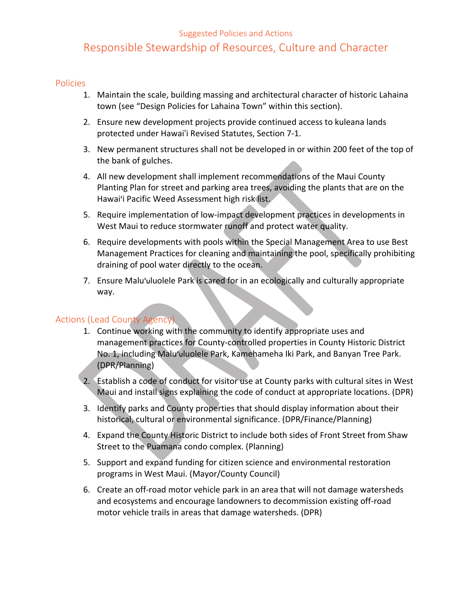#### Suggested Policies and Actions

# Responsible Stewardship of Resources, Culture and Character

#### Policies

- 1. Maintain the scale, building massing and architectural character of historic Lahaina town (see "Design Policies for Lahaina Town" within this section).
- 2. Ensure new development projects provide continued access to kuleana lands protected under Hawaiʻi Revised Statutes, Section 7‐1.
- 3. New permanent structures shall not be developed in or within 200 feet of the top of the bank of gulches.
- 4. All new development shall implement recommendations of the Maui County Planting Plan for street and parking area trees, avoiding the plants that are on the Hawai'i Pacific Weed Assessment high risk list.
- 5. Require implementation of low-impact development practices in developments in West Maui to reduce stormwater runoff and protect water quality.
- 6. Require developments with pools within the Special Management Area to use Best Management Practices for cleaning and maintaining the pool, specifically prohibiting draining of pool water directly to the ocean.
- 7. Ensure Malu'uluolele Park is cared for in an ecologically and culturally appropriate way.

### Actions (Lead County Agency)

- 1. Continue working with the community to identify appropriate uses and management practices for County‐controlled properties in County Historic District No. 1, including Malu'uluolele Park, Kamehameha Iki Park, and Banyan Tree Park. (DPR/Planning)
- 2. Establish a code of conduct for visitor use at County parks with cultural sites in West Maui and install signs explaining the code of conduct at appropriate locations. (DPR)
- 3. Identify parks and County properties that should display information about their historical, cultural or environmental significance. (DPR/Finance/Planning)
- 4. Expand the County Historic District to include both sides of Front Street from Shaw Street to the Puamana condo complex. (Planning)
- 5. Support and expand funding for citizen science and environmental restoration programs in West Maui. (Mayor/County Council)
- 6. Create an off‐road motor vehicle park in an area that will not damage watersheds and ecosystems and encourage landowners to decommission existing off‐road motor vehicle trails in areas that damage watersheds. (DPR)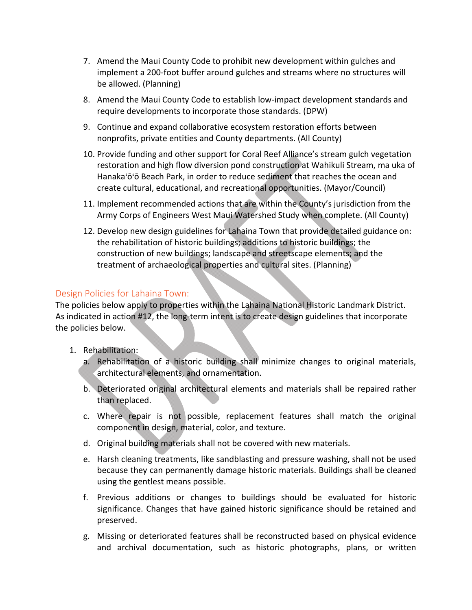- 7. Amend the Maui County Code to prohibit new development within gulches and implement a 200‐foot buffer around gulches and streams where no structures will be allowed. (Planning)
- 8. Amend the Maui County Code to establish low‐impact development standards and require developments to incorporate those standards. (DPW)
- 9. Continue and expand collaborative ecosystem restoration efforts between nonprofits, private entities and County departments. (All County)
- 10. Provide funding and other support for Coral Reef Alliance's stream gulch vegetation restoration and high flow diversion pond construction at Wahikuli Stream, ma uka of Hanaka'ō'ō Beach Park, in order to reduce sediment that reaches the ocean and create cultural, educational, and recreational opportunities. (Mayor/Council)
- 11. Implement recommended actions that are within the County's jurisdiction from the Army Corps of Engineers West Maui Watershed Study when complete. (All County)
- 12. Develop new design guidelines for Lahaina Town that provide detailed guidance on: the rehabilitation of historic buildings; additions to historic buildings; the construction of new buildings; landscape and streetscape elements; and the treatment of archaeological properties and cultural sites. (Planning)

## Design Policies for Lahaina Town:

The policies below apply to properties within the Lahaina National Historic Landmark District. As indicated in action #12, the long‐term intent is to create design guidelines that incorporate the policies below.

- 1. Rehabilitation:
	- a. Rehabilitation of a historic building shall minimize changes to original materials, architectural elements, and ornamentation.
	- b. Deteriorated original architectural elements and materials shall be repaired rather than replaced.
	- c. Where repair is not possible, replacement features shall match the original component in design, material, color, and texture.
	- d. Original building materials shall not be covered with new materials.
	- e. Harsh cleaning treatments, like sandblasting and pressure washing, shall not be used because they can permanently damage historic materials. Buildings shall be cleaned using the gentlest means possible.
	- f. Previous additions or changes to buildings should be evaluated for historic significance. Changes that have gained historic significance should be retained and preserved.
	- g. Missing or deteriorated features shall be reconstructed based on physical evidence and archival documentation, such as historic photographs, plans, or written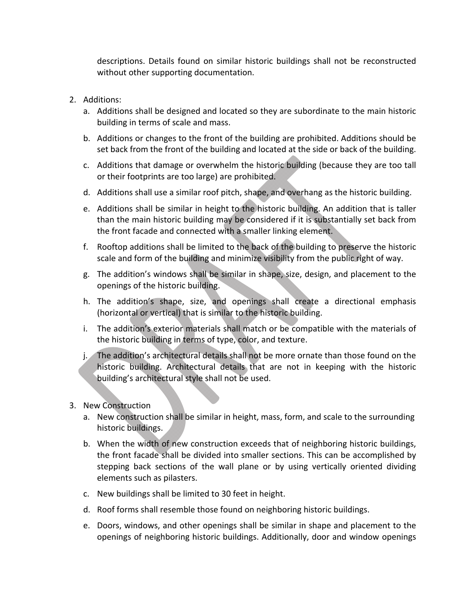descriptions. Details found on similar historic buildings shall not be reconstructed without other supporting documentation.

- 2. Additions:
	- a. Additions shall be designed and located so they are subordinate to the main historic building in terms of scale and mass.
	- b. Additions or changes to the front of the building are prohibited. Additions should be set back from the front of the building and located at the side or back of the building.
	- c. Additions that damage or overwhelm the historic building (because they are too tall or their footprints are too large) are prohibited.
	- d. Additions shall use a similar roof pitch, shape, and overhang as the historic building.
	- e. Additions shall be similar in height to the historic building. An addition that is taller than the main historic building may be considered if it is substantially set back from the front facade and connected with a smaller linking element.
	- f. Rooftop additions shall be limited to the back of the building to preserve the historic scale and form of the building and minimize visibility from the public right of way.
	- g. The addition's windows shall be similar in shape, size, design, and placement to the openings of the historic building.
	- h. The addition's shape, size, and openings shall create a directional emphasis (horizontal or vertical) that is similar to the historic building.
	- i. The addition's exterior materials shall match or be compatible with the materials of the historic building in terms of type, color, and texture.
	- j. The addition's architectural details shall not be more ornate than those found on the historic building. Architectural details that are not in keeping with the historic building's architectural style shall not be used.
- 3. New Construction
	- a. New construction shall be similar in height, mass, form, and scale to the surrounding historic buildings.
	- b. When the width of new construction exceeds that of neighboring historic buildings, the front facade shall be divided into smaller sections. This can be accomplished by stepping back sections of the wall plane or by using vertically oriented dividing elements such as pilasters.
	- c. New buildings shall be limited to 30 feet in height.
	- d. Roof forms shall resemble those found on neighboring historic buildings.
	- e. Doors, windows, and other openings shall be similar in shape and placement to the openings of neighboring historic buildings. Additionally, door and window openings